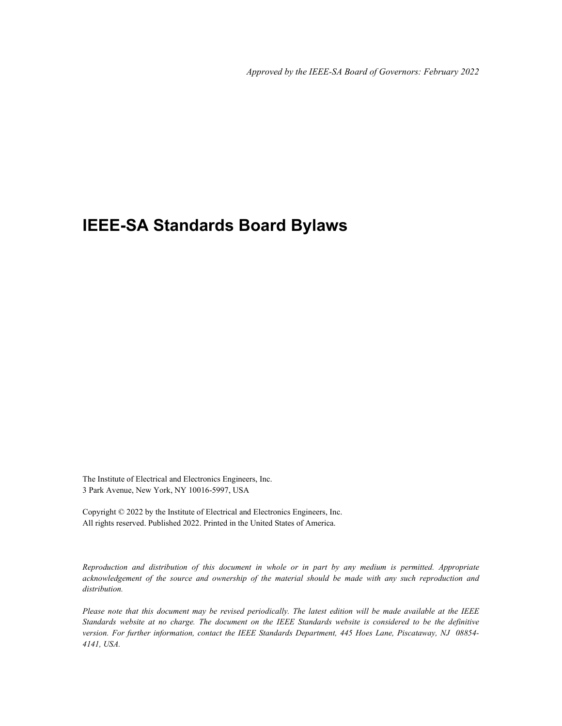*Approved by the IEEE-SA Board of Governors: February 2022*

# **IEEE-SA Standards Board Bylaws**

The Institute of Electrical and Electronics Engineers, Inc. 3 Park Avenue, New York, NY 10016-5997, USA

Copyright © 2022 by the Institute of Electrical and Electronics Engineers, Inc. All rights reserved. Published 2022. Printed in the United States of America.

*Reproduction and distribution of this document in whole or in part by any medium is permitted. Appropriate acknowledgement of the source and ownership of the material should be made with any such reproduction and distribution.*

*Please note that this document may be revised periodically. The latest edition will be made available at the IEEE Standards website at no charge. The document on the IEEE Standards website is considered to be the definitive version. For further information, contact the IEEE Standards Department, 445 Hoes Lane, Piscataway, NJ 08854- 4141, USA.*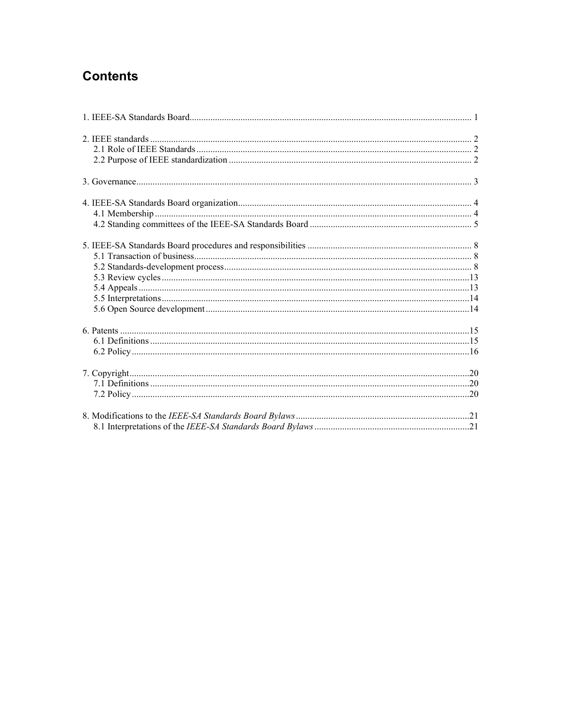# **Contents**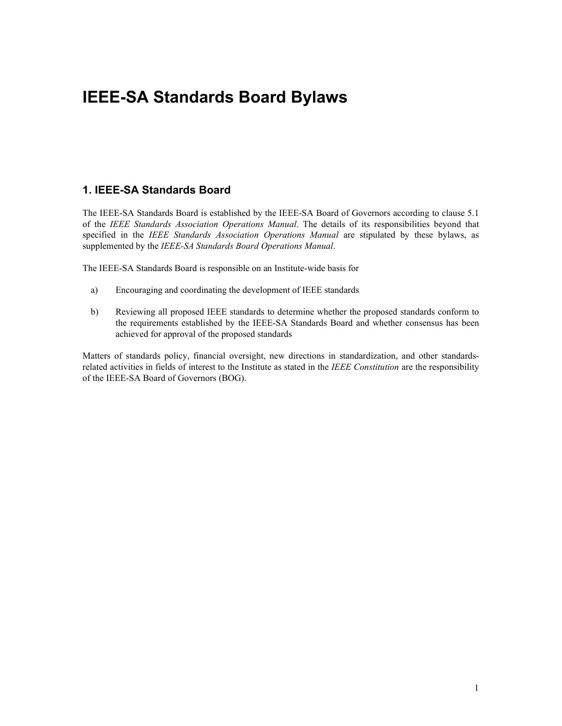# **IEEE-SA Standards Board Bylaws**

## <span id="page-2-0"></span>**1. IEEE-SA Standards Board**

The IEEE-SA Standards Board is established by the IEEE-SA Board of Governors according to clause 5.1 of the *IEEE Standards Association Operations Manual*. The details of its responsibilities beyond that specified in the *IEEE Standards Association Operations Manual* are stipulated by these bylaws, as supplemented by the *IEEE-SA Standards Board Operations Manual*.

The IEEE-SA Standards Board is responsible on an Institute-wide basis for

- a) Encouraging and coordinating the development of IEEE standards
- b) Reviewing all proposed IEEE standards to determine whether the proposed standards conform to the requirements established by the IEEE-SA Standards Board and whether consensus has been achieved for approval of the proposed standards

Matters of standards policy, financial oversight, new directions in standardization, and other standardsrelated activities in fields of interest to the Institute as stated in the *IEEE Constitution* are the responsibility of the IEEE-SA Board of Governors (BOG).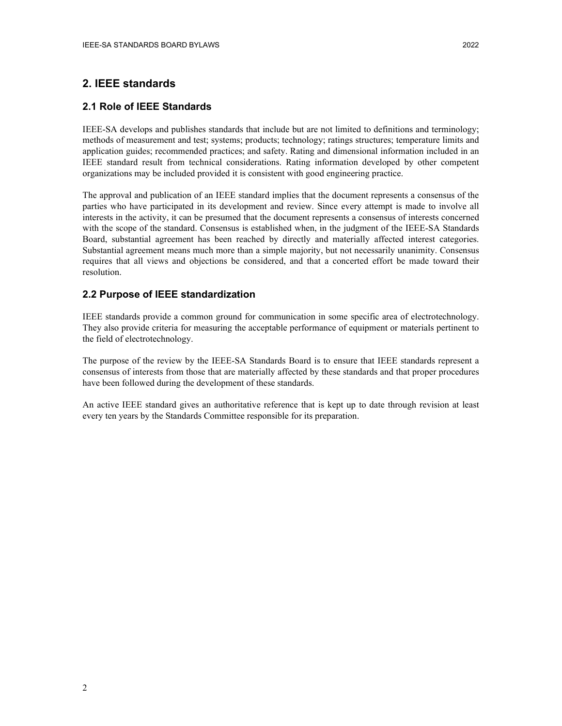# <span id="page-3-1"></span><span id="page-3-0"></span>**2. IEEE standards**

## **2.1 Role of IEEE Standards**

IEEE-SA develops and publishes standards that include but are not limited to definitions and terminology; methods of measurement and test; systems; products; technology; ratings structures; temperature limits and application guides; recommended practices; and safety. Rating and dimensional information included in an IEEE standard result from technical considerations. Rating information developed by other competent organizations may be included provided it is consistent with good engineering practice.

The approval and publication of an IEEE standard implies that the document represents a consensus of the parties who have participated in its development and review. Since every attempt is made to involve all interests in the activity, it can be presumed that the document represents a consensus of interests concerned with the scope of the standard. Consensus is established when, in the judgment of the IEEE-SA Standards Board, substantial agreement has been reached by directly and materially affected interest categories. Substantial agreement means much more than a simple majority, but not necessarily unanimity. Consensus requires that all views and objections be considered, and that a concerted effort be made toward their resolution.

## <span id="page-3-2"></span>**2.2 Purpose of IEEE standardization**

IEEE standards provide a common ground for communication in some specific area of electrotechnology. They also provide criteria for measuring the acceptable performance of equipment or materials pertinent to the field of electrotechnology.

The purpose of the review by the IEEE-SA Standards Board is to ensure that IEEE standards represent a consensus of interests from those that are materially affected by these standards and that proper procedures have been followed during the development of these standards.

An active IEEE standard gives an authoritative reference that is kept up to date through revision at least every ten years by the Standards Committee responsible for its preparation.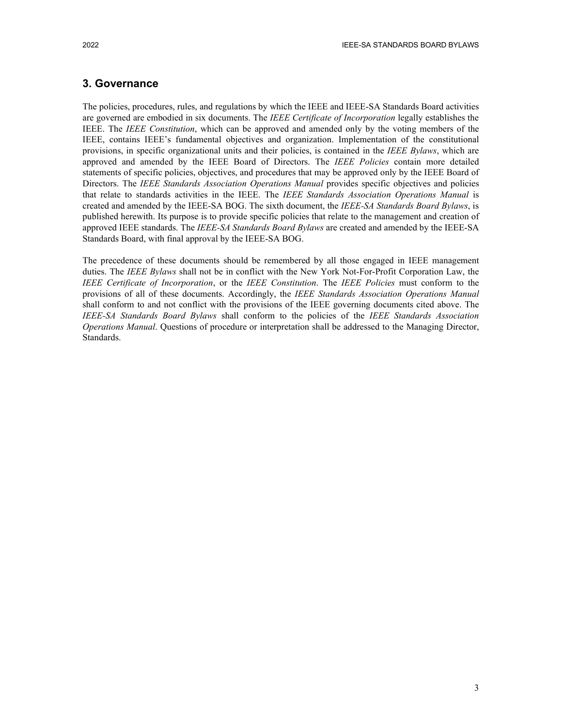## <span id="page-4-0"></span>**3. Governance**

The policies, procedures, rules, and regulations by which the IEEE and IEEE-SA Standards Board activities are governed are embodied in six documents. The *IEEE Certificate of Incorporation* legally establishes the IEEE. The *IEEE Constitution*, which can be approved and amended only by the voting members of the IEEE, contains IEEE's fundamental objectives and organization. Implementation of the constitutional provisions, in specific organizational units and their policies, is contained in the *IEEE Bylaws*, which are approved and amended by the IEEE Board of Directors. The *IEEE Policies* contain more detailed statements of specific policies, objectives, and procedures that may be approved only by the IEEE Board of Directors. The *IEEE Standards Association Operations Manual* provides specific objectives and policies that relate to standards activities in the IEEE. The *IEEE Standards Association Operations Manual* is created and amended by the IEEE-SA BOG. The sixth document, the *IEEE-SA Standards Board Bylaws*, is published herewith. Its purpose is to provide specific policies that relate to the management and creation of approved IEEE standards. The *IEEE-SA Standards Board Bylaws* are created and amended by the IEEE-SA Standards Board, with final approval by the IEEE-SA BOG.

The precedence of these documents should be remembered by all those engaged in IEEE management duties. The *IEEE Bylaws* shall not be in conflict with the New York Not-For-Profit Corporation Law, the *IEEE Certificate of Incorporation*, or the *IEEE Constitution*. The *IEEE Policies* must conform to the provisions of all of these documents. Accordingly, the *IEEE Standards Association Operations Manual* shall conform to and not conflict with the provisions of the IEEE governing documents cited above. The *IEEE-SA Standards Board Bylaws* shall conform to the policies of the *IEEE Standards Association Operations Manual*. Questions of procedure or interpretation shall be addressed to the Managing Director, Standards.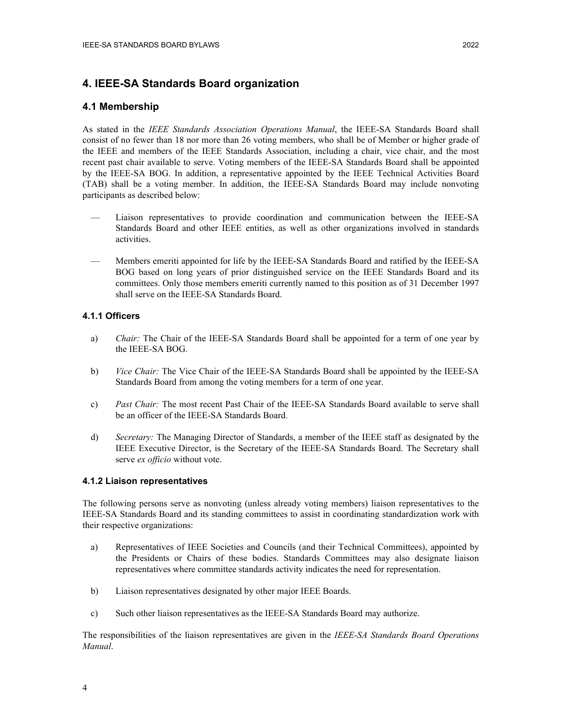# <span id="page-5-1"></span><span id="page-5-0"></span>**4. IEEE-SA Standards Board organization**

## **4.1 Membership**

As stated in the *IEEE Standards Association Operations Manual*, the IEEE-SA Standards Board shall consist of no fewer than 18 nor more than 26 voting members, who shall be of Member or higher grade of the IEEE and members of the IEEE Standards Association, including a chair, vice chair, and the most recent past chair available to serve. Voting members of the IEEE-SA Standards Board shall be appointed by the IEEE-SA BOG. In addition, a representative appointed by the IEEE Technical Activities Board (TAB) shall be a voting member. In addition, the IEEE-SA Standards Board may include nonvoting participants as described below:

- Liaison representatives to provide coordination and communication between the IEEE-SA Standards Board and other IEEE entities, as well as other organizations involved in standards activities.
- Members emeriti appointed for life by the IEEE-SA Standards Board and ratified by the IEEE-SA BOG based on long years of prior distinguished service on the IEEE Standards Board and its committees. Only those members emeriti currently named to this position as of 31 December 1997 shall serve on the IEEE-SA Standards Board.

## **4.1.1 Officers**

- a) *Chair:* The Chair of the IEEE-SA Standards Board shall be appointed for a term of one year by the IEEE-SA BOG.
- b) *Vice Chair:* The Vice Chair of the IEEE-SA Standards Board shall be appointed by the IEEE-SA Standards Board from among the voting members for a term of one year.
- c) *Past Chair:* The most recent Past Chair of the IEEE-SA Standards Board available to serve shall be an officer of the IEEE-SA Standards Board.
- d) *Secretary:* The Managing Director of Standards, a member of the IEEE staff as designated by the IEEE Executive Director, is the Secretary of the IEEE-SA Standards Board. The Secretary shall serve *ex officio* without vote.

#### **4.1.2 Liaison representatives**

The following persons serve as nonvoting (unless already voting members) liaison representatives to the IEEE-SA Standards Board and its standing committees to assist in coordinating standardization work with their respective organizations:

- a) Representatives of IEEE Societies and Councils (and their Technical Committees), appointed by the Presidents or Chairs of these bodies. Standards Committees may also designate liaison representatives where committee standards activity indicates the need for representation.
- b) Liaison representatives designated by other major IEEE Boards.
- c) Such other liaison representatives as the IEEE-SA Standards Board may authorize.

The responsibilities of the liaison representatives are given in the *IEEE-SA Standards Board Operations Manual*.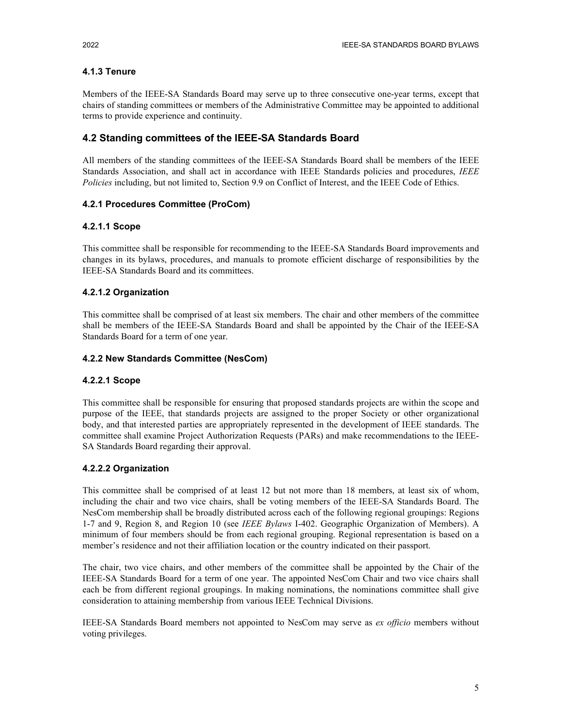### **4.1.3 Tenure**

Members of the IEEE-SA Standards Board may serve up to three consecutive one-year terms, except that chairs of standing committees or members of the Administrative Committee may be appointed to additional terms to provide experience and continuity.

## <span id="page-6-0"></span>**4.2 Standing committees of the IEEE-SA Standards Board**

All members of the standing committees of the IEEE-SA Standards Board shall be members of the IEEE Standards Association, and shall act in accordance with IEEE Standards policies and procedures, *IEEE Policies* including, but not limited to, Section 9.9 on Conflict of Interest, and the IEEE Code of Ethics.

#### **4.2.1 Procedures Committee (ProCom)**

#### **4.2.1.1 Scope**

This committee shall be responsible for recommending to the IEEE-SA Standards Board improvements and changes in its bylaws, procedures, and manuals to promote efficient discharge of responsibilities by the IEEE-SA Standards Board and its committees.

#### **4.2.1.2 Organization**

This committee shall be comprised of at least six members. The chair and other members of the committee shall be members of the IEEE-SA Standards Board and shall be appointed by the Chair of the IEEE-SA Standards Board for a term of one year.

#### **4.2.2 New Standards Committee (NesCom)**

#### **4.2.2.1 Scope**

This committee shall be responsible for ensuring that proposed standards projects are within the scope and purpose of the IEEE, that standards projects are assigned to the proper Society or other organizational body, and that interested parties are appropriately represented in the development of IEEE standards. The committee shall examine Project Authorization Requests (PARs) and make recommendations to the IEEE-SA Standards Board regarding their approval.

#### **4.2.2.2 Organization**

This committee shall be comprised of at least 12 but not more than 18 members, at least six of whom, including the chair and two vice chairs, shall be voting members of the IEEE-SA Standards Board. The NesCom membership shall be broadly distributed across each of the following regional groupings: Regions 1-7 and 9, Region 8, and Region 10 (see *IEEE Bylaws* I-402. Geographic Organization of Members). A minimum of four members should be from each regional grouping. Regional representation is based on a member's residence and not their affiliation location or the country indicated on their passport.

The chair, two vice chairs, and other members of the committee shall be appointed by the Chair of the IEEE-SA Standards Board for a term of one year. The appointed NesCom Chair and two vice chairs shall each be from different regional groupings. In making nominations, the nominations committee shall give consideration to attaining membership from various IEEE Technical Divisions.

IEEE-SA Standards Board members not appointed to NesCom may serve as *ex officio* members without voting privileges.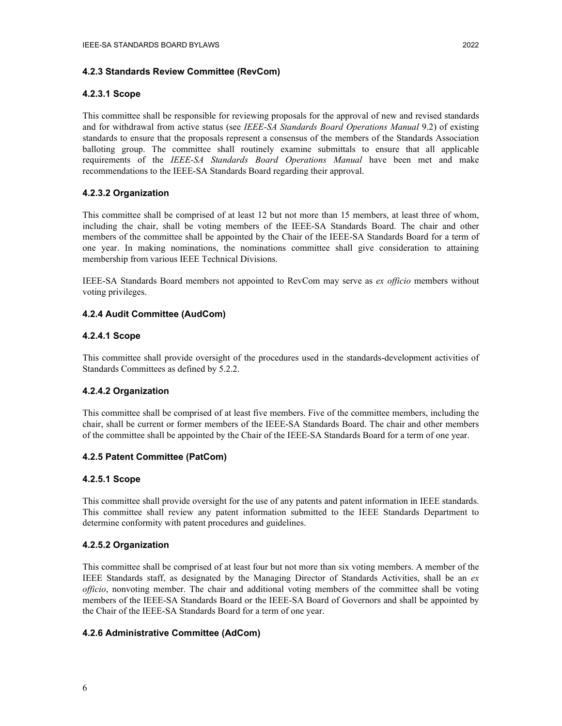#### **4.2.3 Standards Review Committee (RevCom)**

#### **4.2.3.1 Scope**

This committee shall be responsible for reviewing proposals for the approval of new and revised standards and for withdrawal from active status (see *IEEE-SA Standards Board Operations Manual* 9.2) of existing standards to ensure that the proposals represent a consensus of the members of the Standards Association balloting group. The committee shall routinely examine submittals to ensure that all applicable requirements of the *IEEE-SA Standards Board Operations Manual* have been met and make recommendations to the IEEE-SA Standards Board regarding their approval.

#### **4.2.3.2 Organization**

This committee shall be comprised of at least 12 but not more than 15 members, at least three of whom, including the chair, shall be voting members of the IEEE-SA Standards Board. The chair and other members of the committee shall be appointed by the Chair of the IEEE-SA Standards Board for a term of one year. In making nominations, the nominations committee shall give consideration to attaining membership from various IEEE Technical Divisions.

IEEE-SA Standards Board members not appointed to RevCom may serve as *ex officio* members without voting privileges.

#### **4.2.4 Audit Committee (AudCom)**

#### **4.2.4.1 Scope**

This committee shall provide oversight of the procedures used in the standards-development activities of Standards Committees as defined by 5.2.2.

#### **4.2.4.2 Organization**

This committee shall be comprised of at least five members. Five of the committee members, including the chair, shall be current or former members of the IEEE-SA Standards Board. The chair and other members of the committee shall be appointed by the Chair of the IEEE-SA Standards Board for a term of one year.

#### **4.2.5 Patent Committee (PatCom)**

#### **4.2.5.1 Scope**

This committee shall provide oversight for the use of any patents and patent information in IEEE standards. This committee shall review any patent information submitted to the IEEE Standards Department to determine conformity with patent procedures and guidelines.

#### **4.2.5.2 Organization**

This committee shall be comprised of at least four but not more than six voting members. A member of the IEEE Standards staff, as designated by the Managing Director of Standards Activities, shall be an *ex officio*, nonvoting member. The chair and additional voting members of the committee shall be voting members of the IEEE-SA Standards Board or the IEEE-SA Board of Governors and shall be appointed by the Chair of the IEEE-SA Standards Board for a term of one year.

#### **4.2.6 Administrative Committee (AdCom)**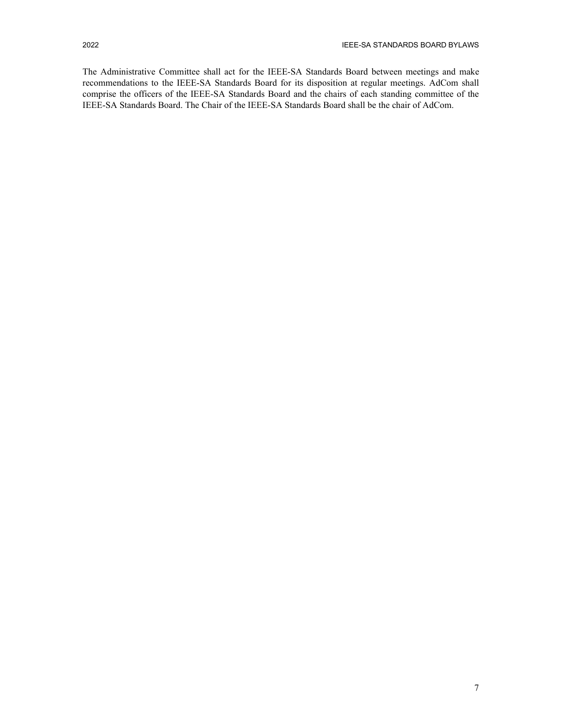The Administrative Committee shall act for the IEEE-SA Standards Board between meetings and make recommendations to the IEEE-SA Standards Board for its disposition at regular meetings. AdCom shall comprise the officers of the IEEE-SA Standards Board and the chairs of each standing committee of the IEEE-SA Standards Board. The Chair of the IEEE-SA Standards Board shall be the chair of AdCom.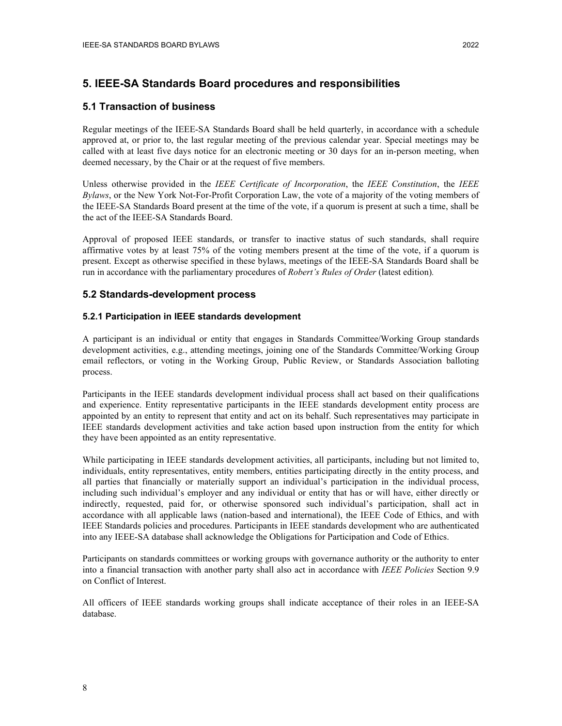# <span id="page-9-1"></span><span id="page-9-0"></span>**5. IEEE-SA Standards Board procedures and responsibilities**

## **5.1 Transaction of business**

Regular meetings of the IEEE-SA Standards Board shall be held quarterly, in accordance with a schedule approved at, or prior to, the last regular meeting of the previous calendar year. Special meetings may be called with at least five days notice for an electronic meeting or 30 days for an in-person meeting, when deemed necessary, by the Chair or at the request of five members.

Unless otherwise provided in the *IEEE Certificate of Incorporation*, the *IEEE Constitution*, the *IEEE Bylaws*, or the New York Not-For-Profit Corporation Law, the vote of a majority of the voting members of the IEEE-SA Standards Board present at the time of the vote, if a quorum is present at such a time, shall be the act of the IEEE-SA Standards Board.

Approval of proposed IEEE standards, or transfer to inactive status of such standards, shall require affirmative votes by at least 75% of the voting members present at the time of the vote, if a quorum is present. Except as otherwise specified in these bylaws, meetings of the IEEE-SA Standards Board shall be run in accordance with the parliamentary procedures of *Robert's Rules of Order* (latest edition)*.*

## <span id="page-9-2"></span>**5.2 Standards-development process**

#### **5.2.1 Participation in IEEE standards development**

A participant is an individual or entity that engages in Standards Committee/Working Group standards development activities, e.g., attending meetings, joining one of the Standards Committee/Working Group email reflectors, or voting in the Working Group, Public Review, or Standards Association balloting process.

Participants in the IEEE standards development individual process shall act based on their qualifications and experience. Entity representative participants in the IEEE standards development entity process are appointed by an entity to represent that entity and act on its behalf. Such representatives may participate in IEEE standards development activities and take action based upon instruction from the entity for which they have been appointed as an entity representative.

While participating in IEEE standards development activities, all participants, including but not limited to, individuals, entity representatives, entity members, entities participating directly in the entity process, and all parties that financially or materially support an individual's participation in the individual process, including such individual's employer and any individual or entity that has or will have, either directly or indirectly, requested, paid for, or otherwise sponsored such individual's participation, shall act in accordance with all applicable laws (nation-based and international), the IEEE Code of Ethics, and with IEEE Standards policies and procedures. Participants in IEEE standards development who are authenticated into any IEEE-SA database shall acknowledge the Obligations for Participation and Code of Ethics.

Participants on standards committees or working groups with governance authority or the authority to enter into a financial transaction with another party shall also act in accordance with *IEEE Policies* Section 9.9 on Conflict of Interest.

All officers of IEEE standards working groups shall indicate acceptance of their roles in an IEEE-SA database.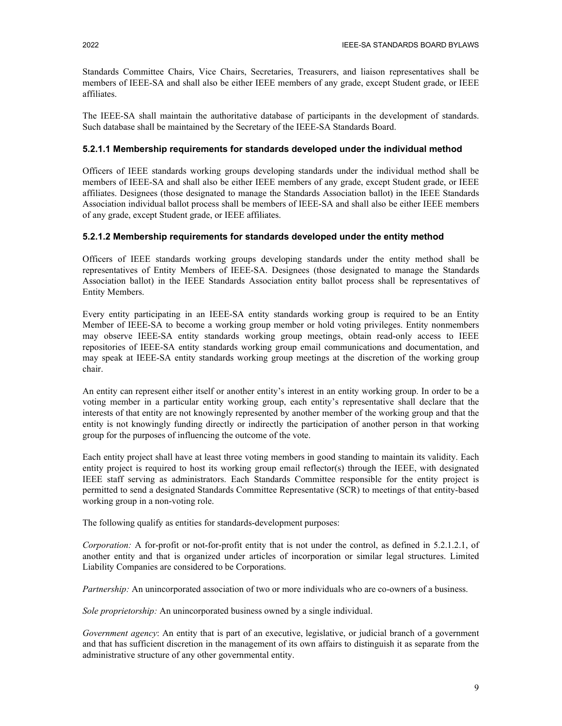Standards Committee Chairs, Vice Chairs, Secretaries, Treasurers, and liaison representatives shall be members of IEEE-SA and shall also be either IEEE members of any grade, except Student grade, or IEEE affiliates.

The IEEE-SA shall maintain the authoritative database of participants in the development of standards. Such database shall be maintained by the Secretary of the IEEE-SA Standards Board.

#### **5.2.1.1 Membership requirements for standards developed under the individual method**

Officers of IEEE standards working groups developing standards under the individual method shall be members of IEEE-SA and shall also be either IEEE members of any grade, except Student grade, or IEEE affiliates. Designees (those designated to manage the Standards Association ballot) in the IEEE Standards Association individual ballot process shall be members of IEEE-SA and shall also be either IEEE members of any grade, except Student grade, or IEEE affiliates.

#### **5.2.1.2 Membership requirements for standards developed under the entity method**

Officers of IEEE standards working groups developing standards under the entity method shall be representatives of Entity Members of IEEE-SA. Designees (those designated to manage the Standards Association ballot) in the IEEE Standards Association entity ballot process shall be representatives of Entity Members.

Every entity participating in an IEEE-SA entity standards working group is required to be an Entity Member of IEEE-SA to become a working group member or hold voting privileges. Entity nonmembers may observe IEEE-SA entity standards working group meetings, obtain read-only access to IEEE repositories of IEEE-SA entity standards working group email communications and documentation, and may speak at IEEE-SA entity standards working group meetings at the discretion of the working group chair.

An entity can represent either itself or another entity's interest in an entity working group. In order to be a voting member in a particular entity working group, each entity's representative shall declare that the interests of that entity are not knowingly represented by another member of the working group and that the entity is not knowingly funding directly or indirectly the participation of another person in that working group for the purposes of influencing the outcome of the vote.

Each entity project shall have at least three voting members in good standing to maintain its validity. Each entity project is required to host its working group email reflector(s) through the IEEE, with designated IEEE staff serving as administrators. Each Standards Committee responsible for the entity project is permitted to send a designated Standards Committee Representative (SCR) to meetings of that entity-based working group in a non-voting role.

The following qualify as entities for standards-development purposes:

*Corporation:* A for-profit or not-for-profit entity that is not under the control, as defined in 5.2.1.2.1, of another entity and that is organized under articles of incorporation or similar legal structures. Limited Liability Companies are considered to be Corporations.

*Partnership:* An unincorporated association of two or more individuals who are co-owners of a business.

*Sole proprietorship:* An unincorporated business owned by a single individual.

*Government agency*: An entity that is part of an executive, legislative, or judicial branch of a government and that has sufficient discretion in the management of its own affairs to distinguish it as separate from the administrative structure of any other governmental entity.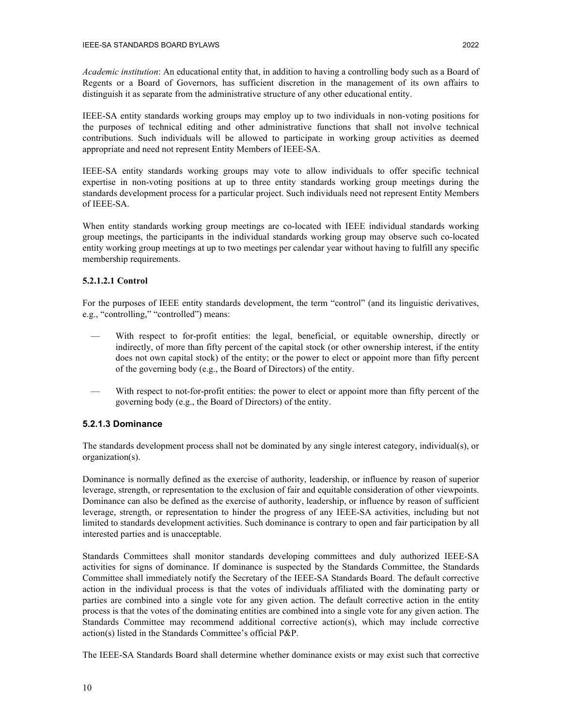*Academic institution*: An educational entity that, in addition to having a controlling body such as a Board of Regents or a Board of Governors, has sufficient discretion in the management of its own affairs to distinguish it as separate from the administrative structure of any other educational entity.

IEEE-SA entity standards working groups may employ up to two individuals in non-voting positions for the purposes of technical editing and other administrative functions that shall not involve technical contributions. Such individuals will be allowed to participate in working group activities as deemed appropriate and need not represent Entity Members of IEEE-SA.

IEEE-SA entity standards working groups may vote to allow individuals to offer specific technical expertise in non-voting positions at up to three entity standards working group meetings during the standards development process for a particular project. Such individuals need not represent Entity Members of IEEE-SA.

When entity standards working group meetings are co-located with IEEE individual standards working group meetings, the participants in the individual standards working group may observe such co-located entity working group meetings at up to two meetings per calendar year without having to fulfill any specific membership requirements.

#### **5.2.1.2.1 Control**

For the purposes of IEEE entity standards development, the term "control" (and its linguistic derivatives, e.g., "controlling," "controlled") means:

- With respect to for-profit entities: the legal, beneficial, or equitable ownership, directly or indirectly, of more than fifty percent of the capital stock (or other ownership interest, if the entity does not own capital stock) of the entity; or the power to elect or appoint more than fifty percent of the governing body (e.g., the Board of Directors) of the entity.
- With respect to not-for-profit entities: the power to elect or appoint more than fifty percent of the governing body (e.g., the Board of Directors) of the entity.

#### **5.2.1.3 Dominance**

The standards development process shall not be dominated by any single interest category, individual(s), or organization(s).

Dominance is normally defined as the exercise of authority, leadership, or influence by reason of superior leverage, strength, or representation to the exclusion of fair and equitable consideration of other viewpoints. Dominance can also be defined as the exercise of authority, leadership, or influence by reason of sufficient leverage, strength, or representation to hinder the progress of any IEEE-SA activities, including but not limited to standards development activities. Such dominance is contrary to open and fair participation by all interested parties and is unacceptable.

Standards Committees shall monitor standards developing committees and duly authorized IEEE-SA activities for signs of dominance. If dominance is suspected by the Standards Committee, the Standards Committee shall immediately notify the Secretary of the IEEE-SA Standards Board. The default corrective action in the individual process is that the votes of individuals affiliated with the dominating party or parties are combined into a single vote for any given action. The default corrective action in the entity process is that the votes of the dominating entities are combined into a single vote for any given action. The Standards Committee may recommend additional corrective action(s), which may include corrective action(s) listed in the Standards Committee's official P&P.

The IEEE-SA Standards Board shall determine whether dominance exists or may exist such that corrective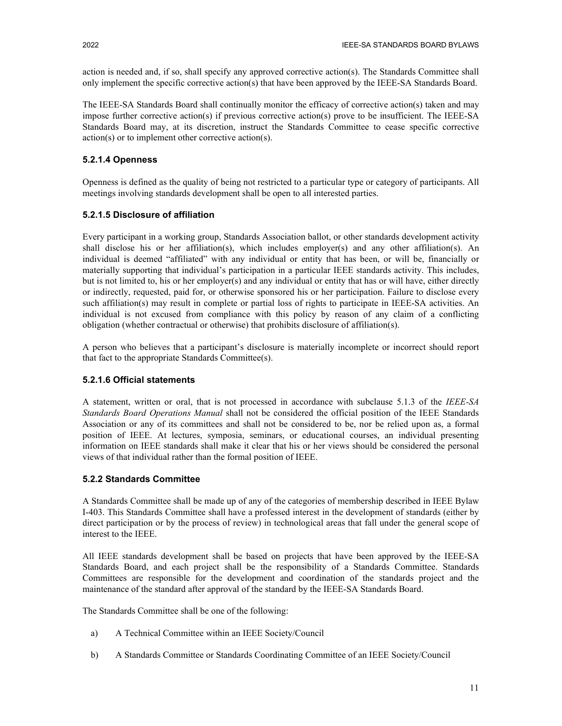action is needed and, if so, shall specify any approved corrective action(s). The Standards Committee shall only implement the specific corrective action(s) that have been approved by the IEEE-SA Standards Board.

The IEEE-SA Standards Board shall continually monitor the efficacy of corrective action(s) taken and may impose further corrective action(s) if previous corrective action(s) prove to be insufficient. The IEEE-SA Standards Board may, at its discretion, instruct the Standards Committee to cease specific corrective action(s) or to implement other corrective action(s).

### **5.2.1.4 Openness**

Openness is defined as the quality of being not restricted to a particular type or category of participants. All meetings involving standards development shall be open to all interested parties.

## **5.2.1.5 Disclosure of affiliation**

Every participant in a working group, Standards Association ballot, or other standards development activity shall disclose his or her affiliation(s), which includes employer(s) and any other affiliation(s). An individual is deemed "affiliated" with any individual or entity that has been, or will be, financially or materially supporting that individual's participation in a particular IEEE standards activity. This includes, but is not limited to, his or her employer(s) and any individual or entity that has or will have, either directly or indirectly, requested, paid for, or otherwise sponsored his or her participation. Failure to disclose every such affiliation(s) may result in complete or partial loss of rights to participate in IEEE-SA activities. An individual is not excused from compliance with this policy by reason of any claim of a conflicting obligation (whether contractual or otherwise) that prohibits disclosure of affiliation(s).

A person who believes that a participant's disclosure is materially incomplete or incorrect should report that fact to the appropriate Standards Committee(s).

#### **5.2.1.6 Official statements**

A statement, written or oral, that is not processed in accordance with subclause 5.1.3 of the *IEEE-SA Standards Board Operations Manual* shall not be considered the official position of the IEEE Standards Association or any of its committees and shall not be considered to be, nor be relied upon as, a formal position of IEEE. At lectures, symposia, seminars, or educational courses, an individual presenting information on IEEE standards shall make it clear that his or her views should be considered the personal views of that individual rather than the formal position of IEEE.

#### **5.2.2 Standards Committee**

A Standards Committee shall be made up of any of the categories of membership described in IEEE Bylaw I-403. This Standards Committee shall have a professed interest in the development of standards (either by direct participation or by the process of review) in technological areas that fall under the general scope of interest to the IEEE.

All IEEE standards development shall be based on projects that have been approved by the IEEE-SA Standards Board, and each project shall be the responsibility of a Standards Committee. Standards Committees are responsible for the development and coordination of the standards project and the maintenance of the standard after approval of the standard by the IEEE-SA Standards Board.

The Standards Committee shall be one of the following:

- a) A Technical Committee within an IEEE Society/Council
- b) A Standards Committee or Standards Coordinating Committee of an IEEE Society/Council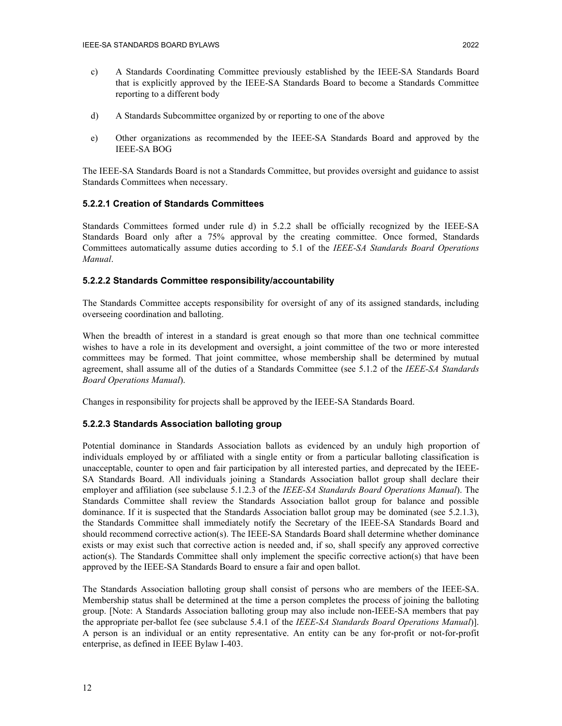- c) A Standards Coordinating Committee previously established by the IEEE-SA Standards Board that is explicitly approved by the IEEE-SA Standards Board to become a Standards Committee reporting to a different body
- d) A Standards Subcommittee organized by or reporting to one of the above
- e) Other organizations as recommended by the IEEE-SA Standards Board and approved by the IEEE-SA BOG

The IEEE-SA Standards Board is not a Standards Committee, but provides oversight and guidance to assist Standards Committees when necessary.

#### **5.2.2.1 Creation of Standards Committees**

Standards Committees formed under rule d) in 5.2.2 shall be officially recognized by the IEEE-SA Standards Board only after a 75% approval by the creating committee. Once formed, Standards Committees automatically assume duties according to 5.1 of the *IEEE-SA Standards Board Operations Manual*.

#### **5.2.2.2 Standards Committee responsibility/accountability**

The Standards Committee accepts responsibility for oversight of any of its assigned standards, including overseeing coordination and balloting.

When the breadth of interest in a standard is great enough so that more than one technical committee wishes to have a role in its development and oversight, a joint committee of the two or more interested committees may be formed. That joint committee, whose membership shall be determined by mutual agreement, shall assume all of the duties of a Standards Committee (see 5.1.2 of the *IEEE-SA Standards Board Operations Manual*).

Changes in responsibility for projects shall be approved by the IEEE-SA Standards Board.

#### **5.2.2.3 Standards Association balloting group**

Potential dominance in Standards Association ballots as evidenced by an unduly high proportion of individuals employed by or affiliated with a single entity or from a particular balloting classification is unacceptable, counter to open and fair participation by all interested parties, and deprecated by the IEEE-SA Standards Board. All individuals joining a Standards Association ballot group shall declare their employer and affiliation (see subclause 5.1.2.3 of the *IEEE-SA Standards Board Operations Manual*). The Standards Committee shall review the Standards Association ballot group for balance and possible dominance. If it is suspected that the Standards Association ballot group may be dominated (see 5.2.1.3), the Standards Committee shall immediately notify the Secretary of the IEEE-SA Standards Board and should recommend corrective action(s). The IEEE-SA Standards Board shall determine whether dominance exists or may exist such that corrective action is needed and, if so, shall specify any approved corrective action(s). The Standards Committee shall only implement the specific corrective action(s) that have been approved by the IEEE-SA Standards Board to ensure a fair and open ballot.

The Standards Association balloting group shall consist of persons who are members of the IEEE-SA. Membership status shall be determined at the time a person completes the process of joining the balloting group. [Note: A Standards Association balloting group may also include non-IEEE-SA members that pay the appropriate per-ballot fee (see subclause 5.4.1 of the *IEEE-SA Standards Board Operations Manual*)]. A person is an individual or an entity representative. An entity can be any for-profit or not-for-profit enterprise, as defined in IEEE Bylaw I-403.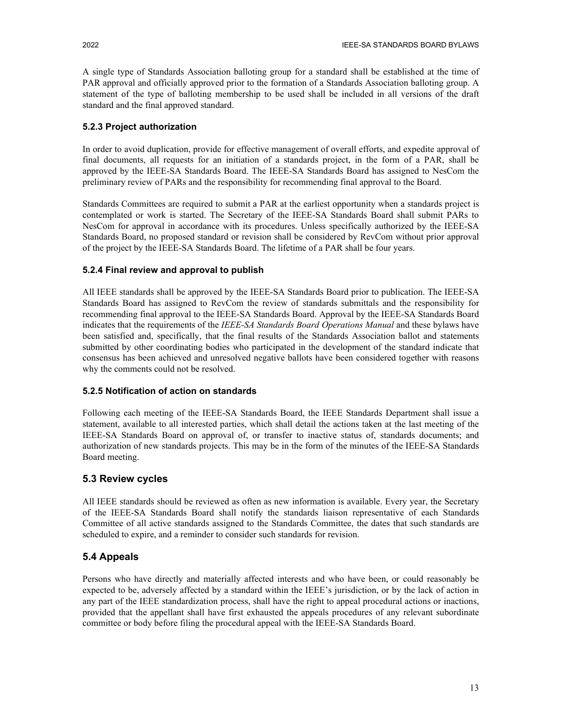A single type of Standards Association balloting group for a standard shall be established at the time of PAR approval and officially approved prior to the formation of a Standards Association balloting group. A statement of the type of balloting membership to be used shall be included in all versions of the draft standard and the final approved standard.

#### **5.2.3 Project authorization**

In order to avoid duplication, provide for effective management of overall efforts, and expedite approval of final documents, all requests for an initiation of a standards project, in the form of a PAR, shall be approved by the IEEE-SA Standards Board. The IEEE-SA Standards Board has assigned to NesCom the preliminary review of PARs and the responsibility for recommending final approval to the Board.

Standards Committees are required to submit a PAR at the earliest opportunity when a standards project is contemplated or work is started. The Secretary of the IEEE-SA Standards Board shall submit PARs to NesCom for approval in accordance with its procedures. Unless specifically authorized by the IEEE-SA Standards Board, no proposed standard or revision shall be considered by RevCom without prior approval of the project by the IEEE-SA Standards Board. The lifetime of a PAR shall be four years.

#### **5.2.4 Final review and approval to publish**

All IEEE standards shall be approved by the IEEE-SA Standards Board prior to publication. The IEEE-SA Standards Board has assigned to RevCom the review of standards submittals and the responsibility for recommending final approval to the IEEE-SA Standards Board. Approval by the IEEE-SA Standards Board indicates that the requirements of the *IEEE-SA Standards Board Operations Manual* and these bylaws have been satisfied and, specifically, that the final results of the Standards Association ballot and statements submitted by other coordinating bodies who participated in the development of the standard indicate that consensus has been achieved and unresolved negative ballots have been considered together with reasons why the comments could not be resolved.

#### **5.2.5 Notification of action on standards**

Following each meeting of the IEEE-SA Standards Board, the IEEE Standards Department shall issue a statement, available to all interested parties, which shall detail the actions taken at the last meeting of the IEEE-SA Standards Board on approval of, or transfer to inactive status of, standards documents; and authorization of new standards projects. This may be in the form of the minutes of the IEEE-SA Standards Board meeting.

#### <span id="page-14-0"></span>**5.3 Review cycles**

All IEEE standards should be reviewed as often as new information is available. Every year, the Secretary of the IEEE-SA Standards Board shall notify the standards liaison representative of each Standards Committee of all active standards assigned to the Standards Committee, the dates that such standards are scheduled to expire, and a reminder to consider such standards for revision.

#### <span id="page-14-1"></span>**5.4 Appeals**

Persons who have directly and materially affected interests and who have been, or could reasonably be expected to be, adversely affected by a standard within the IEEE's jurisdiction, or by the lack of action in any part of the IEEE standardization process, shall have the right to appeal procedural actions or inactions, provided that the appellant shall have first exhausted the appeals procedures of any relevant subordinate committee or body before filing the procedural appeal with the IEEE-SA Standards Board.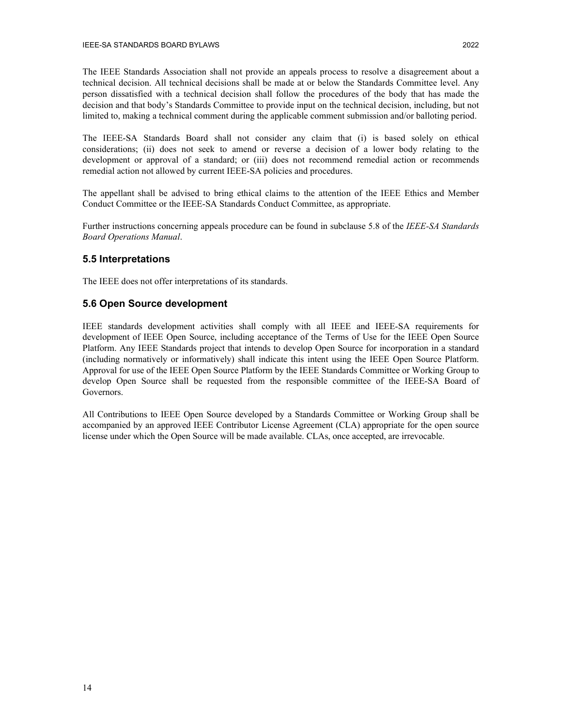The IEEE Standards Association shall not provide an appeals process to resolve a disagreement about a technical decision. All technical decisions shall be made at or below the Standards Committee level. Any person dissatisfied with a technical decision shall follow the procedures of the body that has made the decision and that body's Standards Committee to provide input on the technical decision, including, but not limited to, making a technical comment during the applicable comment submission and/or balloting period.

The IEEE-SA Standards Board shall not consider any claim that (i) is based solely on ethical considerations; (ii) does not seek to amend or reverse a decision of a lower body relating to the development or approval of a standard; or (iii) does not recommend remedial action or recommends remedial action not allowed by current IEEE-SA policies and procedures.

The appellant shall be advised to bring ethical claims to the attention of the IEEE Ethics and Member Conduct Committee or the IEEE-SA Standards Conduct Committee, as appropriate.

Further instructions concerning appeals procedure can be found in subclause 5.8 of the *IEEE-SA Standards Board Operations Manual*.

## <span id="page-15-0"></span>**5.5 Interpretations**

<span id="page-15-1"></span>The IEEE does not offer interpretations of its standards.

## **5.6 Open Source development**

IEEE standards development activities shall comply with all IEEE and IEEE-SA requirements for development of IEEE Open Source, including acceptance of the Terms of Use for the IEEE Open Source Platform. Any IEEE Standards project that intends to develop Open Source for incorporation in a standard (including normatively or informatively) shall indicate this intent using the IEEE Open Source Platform. Approval for use of the IEEE Open Source Platform by the IEEE Standards Committee or Working Group to develop Open Source shall be requested from the responsible committee of the IEEE-SA Board of Governors.

All Contributions to IEEE Open Source developed by a Standards Committee or Working Group shall be accompanied by an approved IEEE Contributor License Agreement (CLA) appropriate for the open source license under which the Open Source will be made available. CLAs, once accepted, are irrevocable.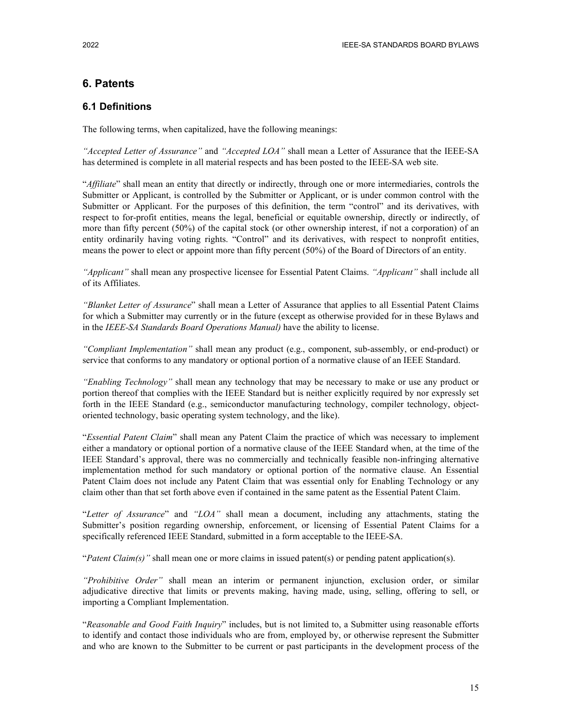# <span id="page-16-1"></span><span id="page-16-0"></span>**6. Patents**

## **6.1 Definitions**

The following terms, when capitalized, have the following meanings:

*"Accepted Letter of Assurance"* and *"Accepted LOA"* shall mean a Letter of Assurance that the IEEE-SA has determined is complete in all material respects and has been posted to the IEEE-SA web site.

"*Affiliate*" shall mean an entity that directly or indirectly, through one or more intermediaries, controls the Submitter or Applicant, is controlled by the Submitter or Applicant, or is under common control with the Submitter or Applicant. For the purposes of this definition, the term "control" and its derivatives, with respect to for-profit entities, means the legal, beneficial or equitable ownership, directly or indirectly, of more than fifty percent (50%) of the capital stock (or other ownership interest, if not a corporation) of an entity ordinarily having voting rights. "Control" and its derivatives, with respect to nonprofit entities, means the power to elect or appoint more than fifty percent (50%) of the Board of Directors of an entity.

*"Applicant"* shall mean any prospective licensee for Essential Patent Claims. *"Applicant"* shall include all of its Affiliates.

*"Blanket Letter of Assurance*" shall mean a Letter of Assurance that applies to all Essential Patent Claims for which a Submitter may currently or in the future (except as otherwise provided for in these Bylaws and in the *IEEE-SA Standards Board Operations Manual)* have the ability to license.

*"Compliant Implementation"* shall mean any product (e.g., component, sub-assembly, or end-product) or service that conforms to any mandatory or optional portion of a normative clause of an IEEE Standard.

*"Enabling Technology"* shall mean any technology that may be necessary to make or use any product or portion thereof that complies with the IEEE Standard but is neither explicitly required by nor expressly set forth in the IEEE Standard (e.g., semiconductor manufacturing technology, compiler technology, objectoriented technology, basic operating system technology, and the like).

"*Essential Patent Claim*" shall mean any Patent Claim the practice of which was necessary to implement either a mandatory or optional portion of a normative clause of the IEEE Standard when, at the time of the IEEE Standard's approval, there was no commercially and technically feasible non-infringing alternative implementation method for such mandatory or optional portion of the normative clause. An Essential Patent Claim does not include any Patent Claim that was essential only for Enabling Technology or any claim other than that set forth above even if contained in the same patent as the Essential Patent Claim.

"*Letter of Assurance*" and *"LOA"* shall mean a document, including any attachments, stating the Submitter's position regarding ownership, enforcement, or licensing of Essential Patent Claims for a specifically referenced IEEE Standard, submitted in a form acceptable to the IEEE-SA.

"*Patent Claim(s)"* shall mean one or more claims in issued patent(s) or pending patent application(s).

*"Prohibitive Order"* shall mean an interim or permanent injunction, exclusion order, or similar adjudicative directive that limits or prevents making, having made, using, selling, offering to sell, or importing a Compliant Implementation.

"*Reasonable and Good Faith Inquiry*" includes, but is not limited to, a Submitter using reasonable efforts to identify and contact those individuals who are from, employed by, or otherwise represent the Submitter and who are known to the Submitter to be current or past participants in the development process of the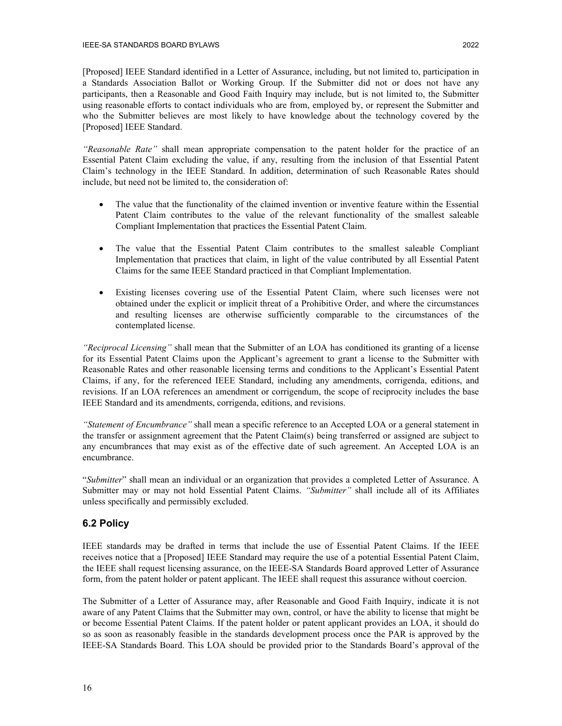#### IEEE-SA STANDARDS BOARD BYLAWS 2022

[Proposed] IEEE Standard identified in a Letter of Assurance, including, but not limited to, participation in a Standards Association Ballot or Working Group. If the Submitter did not or does not have any participants, then a Reasonable and Good Faith Inquiry may include, but is not limited to, the Submitter using reasonable efforts to contact individuals who are from, employed by, or represent the Submitter and who the Submitter believes are most likely to have knowledge about the technology covered by the [Proposed] IEEE Standard.

*"Reasonable Rate"* shall mean appropriate compensation to the patent holder for the practice of an Essential Patent Claim excluding the value, if any, resulting from the inclusion of that Essential Patent Claim's technology in the IEEE Standard. In addition, determination of such Reasonable Rates should include, but need not be limited to, the consideration of:

- The value that the functionality of the claimed invention or inventive feature within the Essential Patent Claim contributes to the value of the relevant functionality of the smallest saleable Compliant Implementation that practices the Essential Patent Claim.
- The value that the Essential Patent Claim contributes to the smallest saleable Compliant Implementation that practices that claim, in light of the value contributed by all Essential Patent Claims for the same IEEE Standard practiced in that Compliant Implementation.
- Existing licenses covering use of the Essential Patent Claim, where such licenses were not obtained under the explicit or implicit threat of a Prohibitive Order, and where the circumstances and resulting licenses are otherwise sufficiently comparable to the circumstances of the contemplated license.

*"Reciprocal Licensing"* shall mean that the Submitter of an LOA has conditioned its granting of a license for its Essential Patent Claims upon the Applicant's agreement to grant a license to the Submitter with Reasonable Rates and other reasonable licensing terms and conditions to the Applicant's Essential Patent Claims, if any, for the referenced IEEE Standard, including any amendments, corrigenda, editions, and revisions. If an LOA references an amendment or corrigendum, the scope of reciprocity includes the base IEEE Standard and its amendments, corrigenda, editions, and revisions.

*"Statement of Encumbrance"* shall mean a specific reference to an Accepted LOA or a general statement in the transfer or assignment agreement that the Patent Claim(s) being transferred or assigned are subject to any encumbrances that may exist as of the effective date of such agreement. An Accepted LOA is an encumbrance.

"*Submitter*" shall mean an individual or an organization that provides a completed Letter of Assurance. A Submitter may or may not hold Essential Patent Claims. *"Submitter"* shall include all of its Affiliates unless specifically and permissibly excluded.

## <span id="page-17-0"></span>**6.2 Policy**

IEEE standards may be drafted in terms that include the use of Essential Patent Claims. If the IEEE receives notice that a [Proposed] IEEE Standard may require the use of a potential Essential Patent Claim, the IEEE shall request licensing assurance, on the IEEE-SA Standards Board approved Letter of Assurance form, from the patent holder or patent applicant. The IEEE shall request this assurance without coercion.

The Submitter of a Letter of Assurance may, after Reasonable and Good Faith Inquiry, indicate it is not aware of any Patent Claims that the Submitter may own, control, or have the ability to license that might be or become Essential Patent Claims. If the patent holder or patent applicant provides an LOA, it should do so as soon as reasonably feasible in the standards development process once the PAR is approved by the IEEE-SA Standards Board. This LOA should be provided prior to the Standards Board's approval of the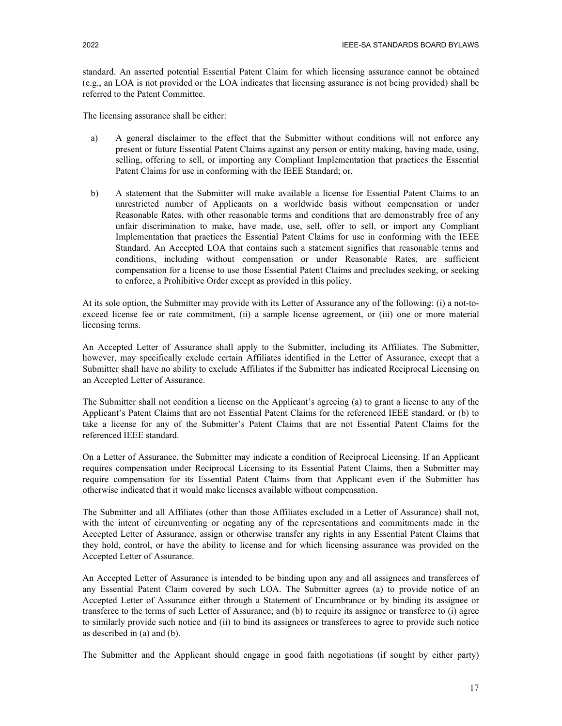standard. An asserted potential Essential Patent Claim for which licensing assurance cannot be obtained (e.g., an LOA is not provided or the LOA indicates that licensing assurance is not being provided) shall be referred to the Patent Committee.

The licensing assurance shall be either:

- a) A general disclaimer to the effect that the Submitter without conditions will not enforce any present or future Essential Patent Claims against any person or entity making, having made, using, selling, offering to sell, or importing any Compliant Implementation that practices the Essential Patent Claims for use in conforming with the IEEE Standard; or,
- b) A statement that the Submitter will make available a license for Essential Patent Claims to an unrestricted number of Applicants on a worldwide basis without compensation or under Reasonable Rates, with other reasonable terms and conditions that are demonstrably free of any unfair discrimination to make, have made, use, sell, offer to sell, or import any Compliant Implementation that practices the Essential Patent Claims for use in conforming with the IEEE Standard. An Accepted LOA that contains such a statement signifies that reasonable terms and conditions, including without compensation or under Reasonable Rates, are sufficient compensation for a license to use those Essential Patent Claims and precludes seeking, or seeking to enforce, a Prohibitive Order except as provided in this policy.

At its sole option, the Submitter may provide with its Letter of Assurance any of the following: (i) a not-toexceed license fee or rate commitment, (ii) a sample license agreement, or (iii) one or more material licensing terms.

An Accepted Letter of Assurance shall apply to the Submitter, including its Affiliates. The Submitter, however, may specifically exclude certain Affiliates identified in the Letter of Assurance, except that a Submitter shall have no ability to exclude Affiliates if the Submitter has indicated Reciprocal Licensing on an Accepted Letter of Assurance.

The Submitter shall not condition a license on the Applicant's agreeing (a) to grant a license to any of the Applicant's Patent Claims that are not Essential Patent Claims for the referenced IEEE standard, or (b) to take a license for any of the Submitter's Patent Claims that are not Essential Patent Claims for the referenced IEEE standard.

On a Letter of Assurance, the Submitter may indicate a condition of Reciprocal Licensing. If an Applicant requires compensation under Reciprocal Licensing to its Essential Patent Claims, then a Submitter may require compensation for its Essential Patent Claims from that Applicant even if the Submitter has otherwise indicated that it would make licenses available without compensation.

The Submitter and all Affiliates (other than those Affiliates excluded in a Letter of Assurance) shall not, with the intent of circumventing or negating any of the representations and commitments made in the Accepted Letter of Assurance, assign or otherwise transfer any rights in any Essential Patent Claims that they hold, control, or have the ability to license and for which licensing assurance was provided on the Accepted Letter of Assurance.

An Accepted Letter of Assurance is intended to be binding upon any and all assignees and transferees of any Essential Patent Claim covered by such LOA. The Submitter agrees (a) to provide notice of an Accepted Letter of Assurance either through a Statement of Encumbrance or by binding its assignee or transferee to the terms of such Letter of Assurance; and (b) to require its assignee or transferee to (i) agree to similarly provide such notice and (ii) to bind its assignees or transferees to agree to provide such notice as described in (a) and (b).

The Submitter and the Applicant should engage in good faith negotiations (if sought by either party)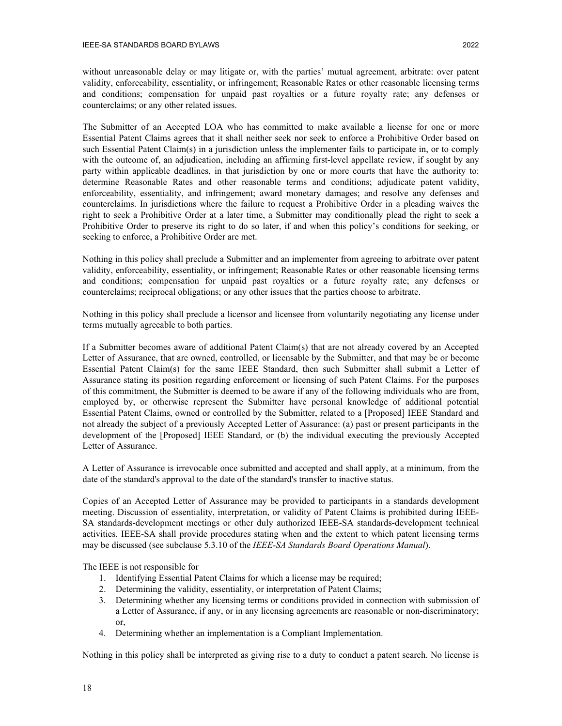#### IEEE-SA STANDARDS BOARD BYLAWS 2022

without unreasonable delay or may litigate or, with the parties' mutual agreement, arbitrate: over patent validity, enforceability, essentiality, or infringement; Reasonable Rates or other reasonable licensing terms and conditions; compensation for unpaid past royalties or a future royalty rate; any defenses or counterclaims; or any other related issues.

The Submitter of an Accepted LOA who has committed to make available a license for one or more Essential Patent Claims agrees that it shall neither seek nor seek to enforce a Prohibitive Order based on such Essential Patent Claim(s) in a jurisdiction unless the implementer fails to participate in, or to comply with the outcome of, an adjudication, including an affirming first-level appellate review, if sought by any party within applicable deadlines, in that jurisdiction by one or more courts that have the authority to: determine Reasonable Rates and other reasonable terms and conditions; adjudicate patent validity, enforceability, essentiality, and infringement; award monetary damages; and resolve any defenses and counterclaims. In jurisdictions where the failure to request a Prohibitive Order in a pleading waives the right to seek a Prohibitive Order at a later time, a Submitter may conditionally plead the right to seek a Prohibitive Order to preserve its right to do so later, if and when this policy's conditions for seeking, or seeking to enforce, a Prohibitive Order are met.

Nothing in this policy shall preclude a Submitter and an implementer from agreeing to arbitrate over patent validity, enforceability, essentiality, or infringement; Reasonable Rates or other reasonable licensing terms and conditions; compensation for unpaid past royalties or a future royalty rate; any defenses or counterclaims; reciprocal obligations; or any other issues that the parties choose to arbitrate.

Nothing in this policy shall preclude a licensor and licensee from voluntarily negotiating any license under terms mutually agreeable to both parties.

If a Submitter becomes aware of additional Patent Claim(s) that are not already covered by an Accepted Letter of Assurance, that are owned, controlled, or licensable by the Submitter, and that may be or become Essential Patent Claim(s) for the same IEEE Standard, then such Submitter shall submit a Letter of Assurance stating its position regarding enforcement or licensing of such Patent Claims. For the purposes of this commitment, the Submitter is deemed to be aware if any of the following individuals who are from, employed by, or otherwise represent the Submitter have personal knowledge of additional potential Essential Patent Claims, owned or controlled by the Submitter, related to a [Proposed] IEEE Standard and not already the subject of a previously Accepted Letter of Assurance: (a) past or present participants in the development of the [Proposed] IEEE Standard, or (b) the individual executing the previously Accepted Letter of Assurance.

A Letter of Assurance is irrevocable once submitted and accepted and shall apply, at a minimum, from the date of the standard's approval to the date of the standard's transfer to inactive status.

Copies of an Accepted Letter of Assurance may be provided to participants in a standards development meeting. Discussion of essentiality, interpretation, or validity of Patent Claims is prohibited during IEEE-SA standards-development meetings or other duly authorized IEEE-SA standards-development technical activities. IEEE-SA shall provide procedures stating when and the extent to which patent licensing terms may be discussed (see subclause 5.3.10 of the *IEEE-SA Standards Board Operations Manual*).

The IEEE is not responsible for

- 1. Identifying Essential Patent Claims for which a license may be required;
- 2. Determining the validity, essentiality, or interpretation of Patent Claims;
- 3. Determining whether any licensing terms or conditions provided in connection with submission of a Letter of Assurance, if any, or in any licensing agreements are reasonable or non-discriminatory; or,
- 4. Determining whether an implementation is a Compliant Implementation.

Nothing in this policy shall be interpreted as giving rise to a duty to conduct a patent search. No license is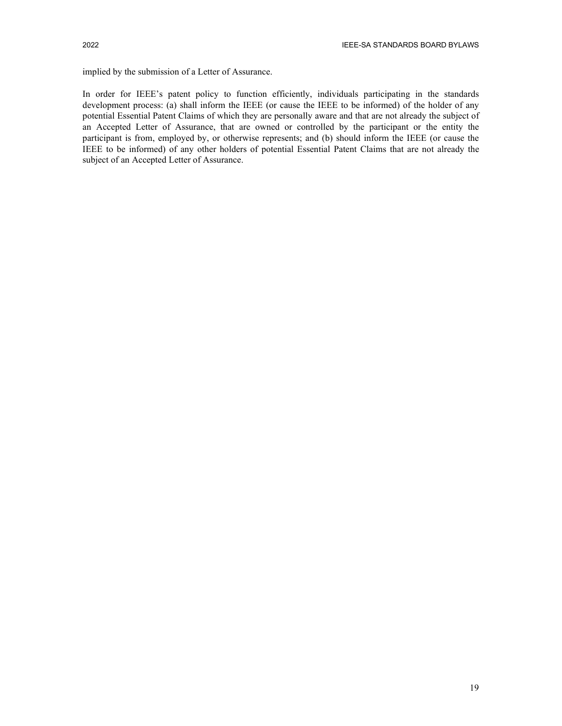implied by the submission of a Letter of Assurance.

In order for IEEE's patent policy to function efficiently, individuals participating in the standards development process: (a) shall inform the IEEE (or cause the IEEE to be informed) of the holder of any potential Essential Patent Claims of which they are personally aware and that are not already the subject of an Accepted Letter of Assurance, that are owned or controlled by the participant or the entity the participant is from, employed by, or otherwise represents; and (b) should inform the IEEE (or cause the IEEE to be informed) of any other holders of potential Essential Patent Claims that are not already the subject of an Accepted Letter of Assurance.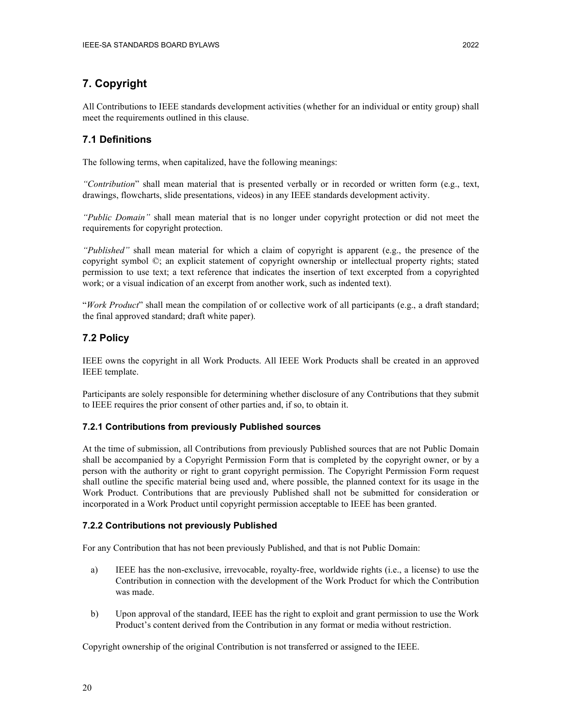# <span id="page-21-0"></span>**7. Copyright**

All Contributions to IEEE standards development activities (whether for an individual or entity group) shall meet the requirements outlined in this clause.

# <span id="page-21-1"></span>**7.1 Definitions**

The following terms, when capitalized, have the following meanings:

*"Contribution*" shall mean material that is presented verbally or in recorded or written form (e.g., text, drawings, flowcharts, slide presentations, videos) in any IEEE standards development activity.

*"Public Domain"* shall mean material that is no longer under copyright protection or did not meet the requirements for copyright protection.

*"Published"* shall mean material for which a claim of copyright is apparent (e.g., the presence of the copyright symbol ©; an explicit statement of copyright ownership or intellectual property rights; stated permission to use text; a text reference that indicates the insertion of text excerpted from a copyrighted work; or a visual indication of an excerpt from another work, such as indented text).

"*Work Product*" shall mean the compilation of or collective work of all participants (e.g., a draft standard; the final approved standard; draft white paper).

# <span id="page-21-2"></span>**7.2 Policy**

IEEE owns the copyright in all Work Products. All IEEE Work Products shall be created in an approved IEEE template.

Participants are solely responsible for determining whether disclosure of any Contributions that they submit to IEEE requires the prior consent of other parties and, if so, to obtain it.

## **7.2.1 Contributions from previously Published sources**

At the time of submission, all Contributions from previously Published sources that are not Public Domain shall be accompanied by a Copyright Permission Form that is completed by the copyright owner, or by a person with the authority or right to grant copyright permission. The Copyright Permission Form request shall outline the specific material being used and, where possible, the planned context for its usage in the Work Product. Contributions that are previously Published shall not be submitted for consideration or incorporated in a Work Product until copyright permission acceptable to IEEE has been granted.

## **7.2.2 Contributions not previously Published**

For any Contribution that has not been previously Published, and that is not Public Domain:

- a) IEEE has the non-exclusive, irrevocable, royalty-free, worldwide rights (i.e., a license) to use the Contribution in connection with the development of the Work Product for which the Contribution was made.
- b) Upon approval of the standard, IEEE has the right to exploit and grant permission to use the Work Product's content derived from the Contribution in any format or media without restriction.

Copyright ownership of the original Contribution is not transferred or assigned to the IEEE.

20